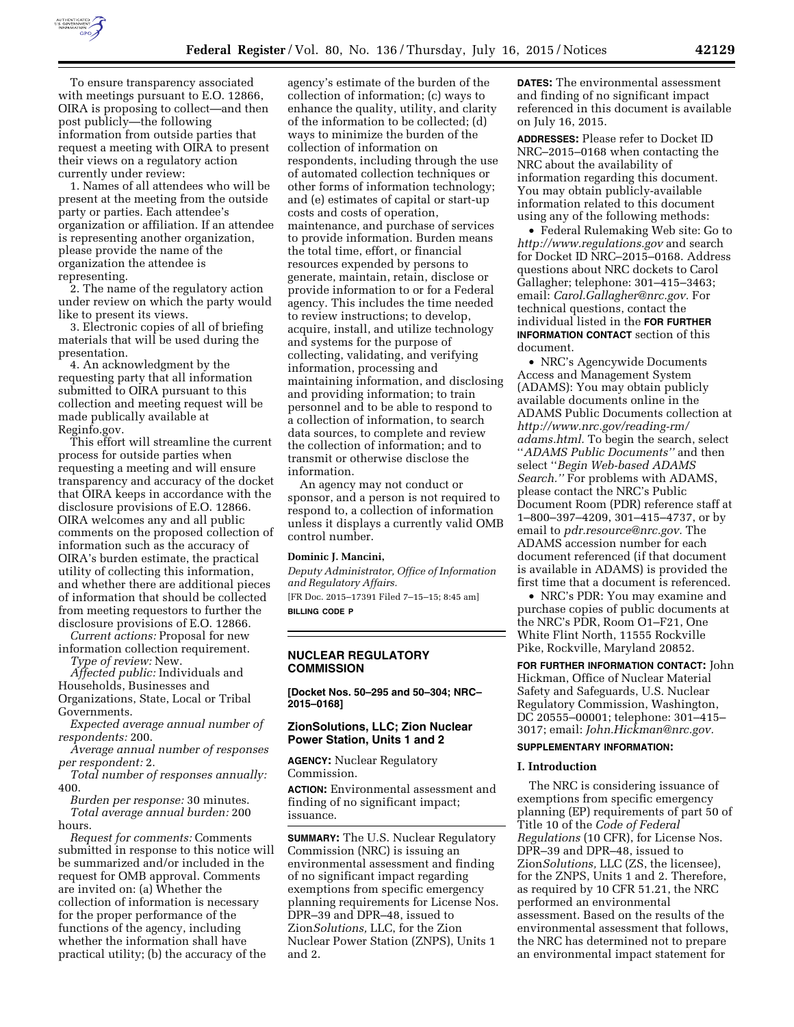

To ensure transparency associated with meetings pursuant to E.O. 12866, OIRA is proposing to collect—and then post publicly—the following information from outside parties that request a meeting with OIRA to present their views on a regulatory action currently under review:

1. Names of all attendees who will be present at the meeting from the outside party or parties. Each attendee's organization or affiliation. If an attendee is representing another organization, please provide the name of the organization the attendee is representing.

2. The name of the regulatory action under review on which the party would like to present its views.

3. Electronic copies of all of briefing materials that will be used during the presentation.

4. An acknowledgment by the requesting party that all information submitted to OIRA pursuant to this collection and meeting request will be made publically available at Reginfo.gov.

This effort will streamline the current process for outside parties when requesting a meeting and will ensure transparency and accuracy of the docket that OIRA keeps in accordance with the disclosure provisions of E.O. 12866. OIRA welcomes any and all public comments on the proposed collection of information such as the accuracy of OIRA's burden estimate, the practical utility of collecting this information, and whether there are additional pieces of information that should be collected from meeting requestors to further the disclosure provisions of E.O. 12866.

*Current actions:* Proposal for new information collection requirement.

*Type of review:* New.

*Affected public:* Individuals and Households, Businesses and Organizations, State, Local or Tribal Governments.

*Expected average annual number of respondents:* 200.

*Average annual number of responses per respondent:* 2.

*Total number of responses annually:*  400.

*Burden per response:* 30 minutes. *Total average annual burden:* 200 hours.

*Request for comments:* Comments submitted in response to this notice will be summarized and/or included in the request for OMB approval. Comments are invited on: (a) Whether the collection of information is necessary for the proper performance of the functions of the agency, including whether the information shall have practical utility; (b) the accuracy of the

agency's estimate of the burden of the collection of information; (c) ways to enhance the quality, utility, and clarity of the information to be collected; (d) ways to minimize the burden of the collection of information on respondents, including through the use of automated collection techniques or other forms of information technology; and (e) estimates of capital or start-up costs and costs of operation, maintenance, and purchase of services to provide information. Burden means the total time, effort, or financial resources expended by persons to generate, maintain, retain, disclose or provide information to or for a Federal agency. This includes the time needed to review instructions; to develop, acquire, install, and utilize technology and systems for the purpose of collecting, validating, and verifying information, processing and maintaining information, and disclosing and providing information; to train personnel and to be able to respond to a collection of information, to search data sources, to complete and review the collection of information; and to transmit or otherwise disclose the information.

An agency may not conduct or sponsor, and a person is not required to respond to, a collection of information unless it displays a currently valid OMB control number.

#### **Dominic J. Mancini,**

*Deputy Administrator, Office of Information and Regulatory Affairs.*  [FR Doc. 2015–17391 Filed 7–15–15; 8:45 am]

**BILLING CODE P** 

# **NUCLEAR REGULATORY COMMISSION**

**[Docket Nos. 50–295 and 50–304; NRC– 2015–0168]** 

## **ZionSolutions, LLC; Zion Nuclear Power Station, Units 1 and 2**

**AGENCY:** Nuclear Regulatory Commission.

**ACTION:** Environmental assessment and finding of no significant impact; issuance.

**SUMMARY:** The U.S. Nuclear Regulatory Commission (NRC) is issuing an environmental assessment and finding of no significant impact regarding exemptions from specific emergency planning requirements for License Nos. DPR–39 and DPR–48, issued to Zion*Solutions,* LLC, for the Zion Nuclear Power Station (ZNPS), Units 1 and 2.

**DATES:** The environmental assessment and finding of no significant impact referenced in this document is available on July 16, 2015.

**ADDRESSES:** Please refer to Docket ID NRC–2015–0168 when contacting the NRC about the availability of information regarding this document. You may obtain publicly-available information related to this document using any of the following methods:

• Federal Rulemaking Web site: Go to *<http://www.regulations.gov>* and search for Docket ID NRC–2015–0168. Address questions about NRC dockets to Carol Gallagher; telephone: 301–415–3463; email: *[Carol.Gallagher@nrc.gov.](mailto:Carol.Gallagher@nrc.gov)* For technical questions, contact the individual listed in the **FOR FURTHER INFORMATION CONTACT** section of this document.

• NRC's Agencywide Documents Access and Management System (ADAMS): You may obtain publicly available documents online in the ADAMS Public Documents collection at *[http://www.nrc.gov/reading-rm/](http://www.nrc.gov/reading-rm/adams.html) [adams.html.](http://www.nrc.gov/reading-rm/adams.html)* To begin the search, select ''*ADAMS Public Documents''* and then select ''*Begin Web-based ADAMS Search.''* For problems with ADAMS, please contact the NRC's Public Document Room (PDR) reference staff at 1–800–397–4209, 301–415–4737, or by email to *[pdr.resource@nrc.gov.](mailto:pdr.resource@nrc.gov)* The ADAMS accession number for each document referenced (if that document is available in ADAMS) is provided the first time that a document is referenced.

• NRC's PDR: You may examine and purchase copies of public documents at the NRC's PDR, Room O1–F21, One White Flint North, 11555 Rockville Pike, Rockville, Maryland 20852.

**FOR FURTHER INFORMATION CONTACT:** John Hickman, Office of Nuclear Material Safety and Safeguards, U.S. Nuclear Regulatory Commission, Washington, DC 20555–00001; telephone: 301–415– 3017; email: *[John.Hickman@nrc.gov.](mailto:John.Hickman@nrc.gov)* 

# **SUPPLEMENTARY INFORMATION:**

## **I. Introduction**

The NRC is considering issuance of exemptions from specific emergency planning (EP) requirements of part 50 of Title 10 of the *Code of Federal Regulations* (10 CFR), for License Nos. DPR–39 and DPR–48, issued to Zion*Solutions,* LLC (ZS, the licensee), for the ZNPS, Units 1 and 2. Therefore, as required by 10 CFR 51.21, the NRC performed an environmental assessment. Based on the results of the environmental assessment that follows, the NRC has determined not to prepare an environmental impact statement for